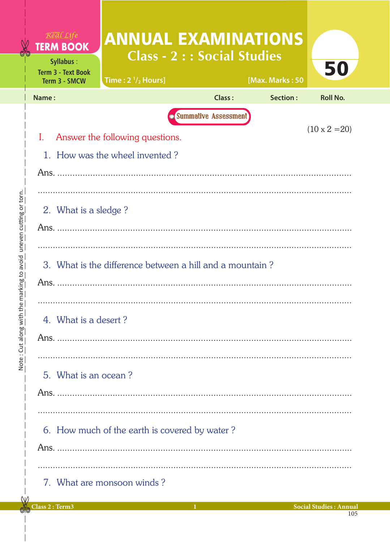| $R$ <i>e al Life</i><br><b>TERM BOOK</b><br>Syllabus:<br><b>Term 3 - Text Book</b> | <b>ANNUAL EXAMINATIONS</b><br><b>Class - 2 : : Social Studies</b> |                             |                 | 50                   |
|------------------------------------------------------------------------------------|-------------------------------------------------------------------|-----------------------------|-----------------|----------------------|
| Term 3 - SMCW                                                                      | Time: $2 \frac{1}{2}$ Hours]                                      |                             | [Max. Marks: 50 |                      |
| Name:                                                                              |                                                                   | Class:                      | Section:        | <b>Roll No.</b>      |
|                                                                                    |                                                                   | <b>Summative Assessment</b> |                 |                      |
| L                                                                                  | Answer the following questions.                                   |                             |                 | $(10 \times 2 = 20)$ |
|                                                                                    | 1. How was the wheel invented?                                    |                             |                 |                      |
|                                                                                    |                                                                   |                             |                 |                      |
|                                                                                    |                                                                   |                             |                 |                      |
| 2. What is a sledge?                                                               |                                                                   |                             |                 |                      |
|                                                                                    |                                                                   |                             |                 |                      |
|                                                                                    |                                                                   |                             |                 |                      |
|                                                                                    | 3. What is the difference between a hill and a mountain?          |                             |                 |                      |
|                                                                                    |                                                                   |                             |                 |                      |
|                                                                                    |                                                                   |                             |                 |                      |
| 4. What is a desert?                                                               |                                                                   |                             |                 |                      |
|                                                                                    |                                                                   |                             |                 |                      |
|                                                                                    |                                                                   |                             |                 |                      |
| 5. What is an ocean?                                                               |                                                                   |                             |                 |                      |
|                                                                                    |                                                                   |                             |                 |                      |
|                                                                                    |                                                                   |                             |                 |                      |
|                                                                                    |                                                                   |                             |                 |                      |
|                                                                                    | 6. How much of the earth is covered by water?                     |                             |                 |                      |
|                                                                                    |                                                                   |                             |                 |                      |
|                                                                                    |                                                                   |                             |                 |                      |
|                                                                                    | 7. What are monsoon winds?                                        |                             |                 |                      |

Note: Cut along with the marking to avoid uneven cutting or torn.

Ć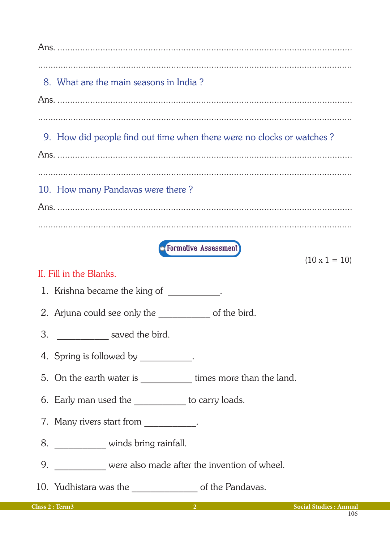Ans 8. What are the main seasons in India? 9. How did people find out time when there were no clocks or watches? 10. How many Pandavas were there? *C* Formative Assessment  $(10 \times 1 = 10)$ II. Fill in the Blanks. 1. Krishna became the king of Theorem 2014 2. Arjuna could see only the of the bird. 3. \_\_\_\_\_\_\_\_\_\_\_\_\_\_ saved the bird. 4. Spring is followed by . 5. On the earth water is \_\_\_\_\_\_\_\_\_\_\_\_\_\_ times more than the land. 6. Early man used the \_\_\_\_\_\_\_\_\_\_\_ to carry loads. 7. Many rivers start from \_\_\_\_\_\_\_\_\_\_\_. 8. \_\_\_\_\_\_\_\_\_\_\_\_ winds bring rainfall. 9. \_\_\_\_\_\_\_\_\_\_\_ were also made after the invention of wheel. 10. Yudhistara was the summary of the Pandavas.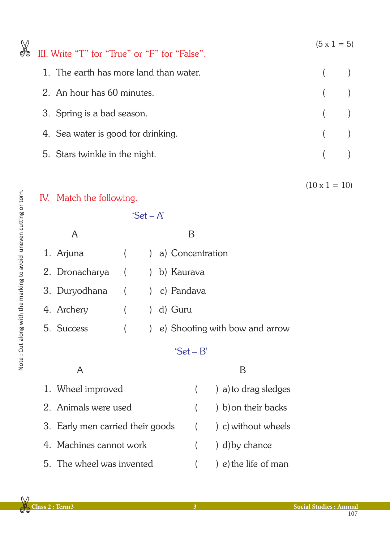| ⊚ | III. Write "T" for "True" or "F" for "False". | $(5 \times 1 = 5)$   |  |
|---|-----------------------------------------------|----------------------|--|
|   | 1. The earth has more land than water.        |                      |  |
|   | 2. An hour has 60 minutes.                    |                      |  |
|   | 3. Spring is a bad season.                    |                      |  |
|   | 4. Sea water is good for drinking.            |                      |  |
|   | 5. Stars twinkle in the night.                |                      |  |
|   |                                               | $(10 \times 1 = 10)$ |  |

## IV. Match the following.

'Set – A'

|                              | 1. Arjuna () a) Concentration      |
|------------------------------|------------------------------------|
| 2. Dronacharya () b) Kaurava |                                    |
| 3. Duryodhana () c) Pandava  |                                    |
| 4. Archery                   | (college ) d) Guru                 |
| 5. Success                   | ( ) e) Shooting with bow and arrow |
|                              |                                    |

## 'Set – B'

| 1. Wheel improved                | $($ a) to drag sledges    |
|----------------------------------|---------------------------|
| 2. Animals were used             | $($ $)$ b) on their backs |
| 3. Early men carried their goods | ( ) c) without wheels     |
| 4. Machines cannot work          | $($ $)$ d) by chance      |
| 5. The wheel was invented        | e) e) the life of man     |

 $\mathsf{W}$ **de**